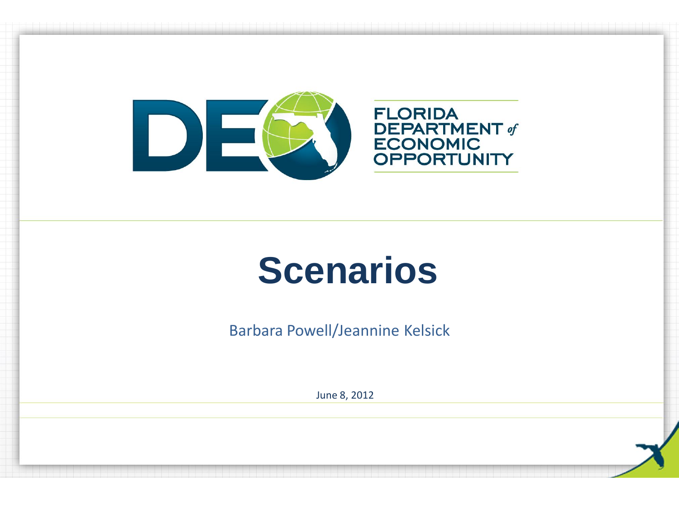

Barbara Powell/Jeannine Kelsick

June 8, 2012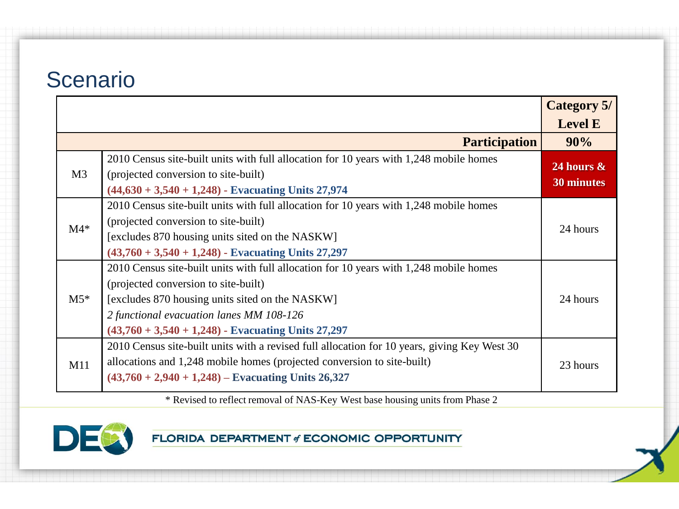|                |                                                                                                                                                                                                                                                                                       | <b>Category 5/</b>          |
|----------------|---------------------------------------------------------------------------------------------------------------------------------------------------------------------------------------------------------------------------------------------------------------------------------------|-----------------------------|
|                |                                                                                                                                                                                                                                                                                       | <b>Level E</b>              |
|                | <b>Participation</b>                                                                                                                                                                                                                                                                  | 90%                         |
| M <sub>3</sub> | 2010 Census site-built units with full allocation for 10 years with 1,248 mobile homes<br>(projected conversion to site-built)<br>$(44,630 + 3,540 + 1,248)$ - Evacuating Units 27,974                                                                                                | 24 hours $\&$<br>30 minutes |
| $M4*$          | 2010 Census site-built units with full allocation for 10 years with 1,248 mobile homes<br>(projected conversion to site-built)<br>[excludes 870 housing units sited on the NASKW]<br>$(43,760 + 3,540 + 1,248)$ - Evacuating Units 27,297                                             | 24 hours                    |
| $M5*$          | 2010 Census site-built units with full allocation for 10 years with 1,248 mobile homes<br>(projected conversion to site-built)<br>[excludes 870 housing units sited on the NASKW]<br>2 functional evacuation lanes MM 108-126<br>$(43,760 + 3,540 + 1,248)$ - Evacuating Units 27,297 | 24 hours                    |
| M11            | 2010 Census site-built units with a revised full allocation for 10 years, giving Key West 30<br>allocations and 1,248 mobile homes (projected conversion to site-built)<br>$(43,760 + 2,940 + 1,248)$ – Evacuating Units 26,327                                                       | 23 hours                    |

\* Revised to reflect removal of NAS-Key West base housing units from Phase 2

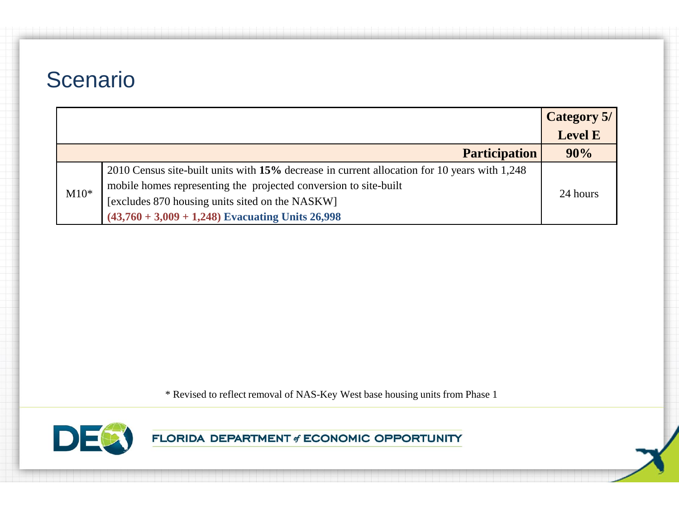|        |                                                                                              | Category 5/    |  |
|--------|----------------------------------------------------------------------------------------------|----------------|--|
|        |                                                                                              | <b>Level E</b> |  |
|        | <b>Participation</b>                                                                         | 90%            |  |
|        | 2010 Census site-built units with 15% decrease in current allocation for 10 years with 1,248 |                |  |
| $M10*$ | mobile homes representing the projected conversion to site-built                             | 24 hours       |  |
|        | [excludes 870 housing units sited on the NASKW]                                              |                |  |
|        | $(43,760 + 3,009 + 1,248)$ Evacuating Units 26,998                                           |                |  |

\* Revised to reflect removal of NAS-Key West base housing units from Phase 1

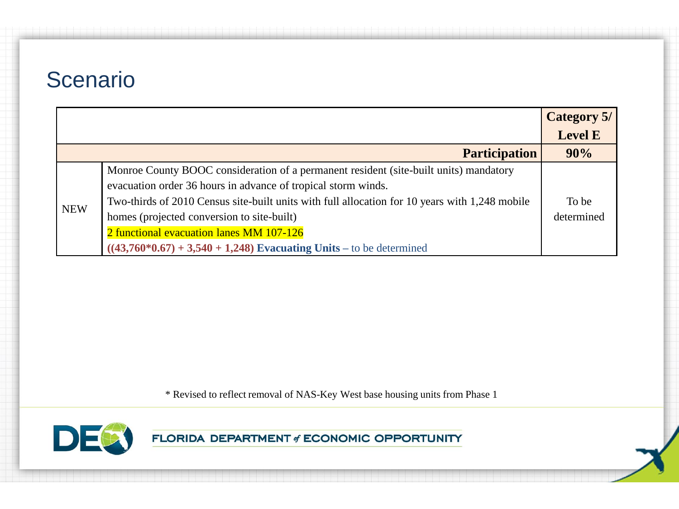|            |                                                                                                                                                                                                                                                                                                                                                                                                                             | <b>Category 5/</b>  |
|------------|-----------------------------------------------------------------------------------------------------------------------------------------------------------------------------------------------------------------------------------------------------------------------------------------------------------------------------------------------------------------------------------------------------------------------------|---------------------|
|            |                                                                                                                                                                                                                                                                                                                                                                                                                             | <b>Level E</b>      |
|            | <b>Participation</b>                                                                                                                                                                                                                                                                                                                                                                                                        | 90%                 |
| <b>NEW</b> | Monroe County BOOC consideration of a permanent resident (site-built units) mandatory<br>evacuation order 36 hours in advance of tropical storm winds.<br>Two-thirds of 2010 Census site-built units with full allocation for 10 years with 1,248 mobile<br>homes (projected conversion to site-built)<br>2 functional evacuation lanes MM 107-126<br>$((43,760*0.67) + 3,540 + 1,248)$ Evacuating Units – to be determined | To be<br>determined |

\* Revised to reflect removal of NAS-Key West base housing units from Phase 1

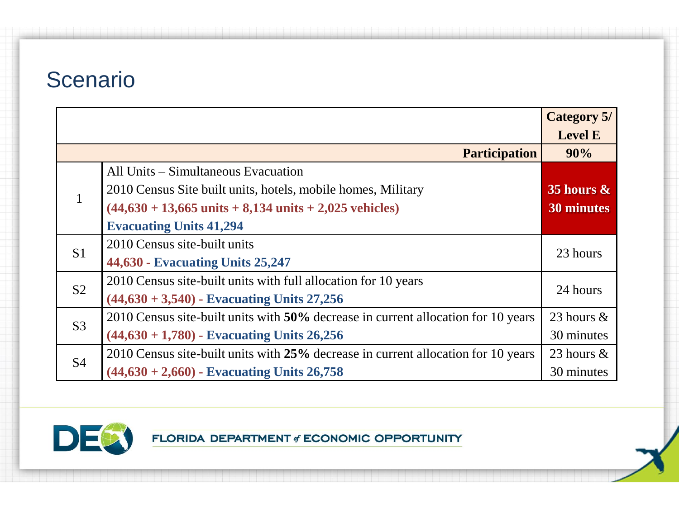|                |                                                                                   | <b>Category 5/</b> |  |
|----------------|-----------------------------------------------------------------------------------|--------------------|--|
|                |                                                                                   | <b>Level E</b>     |  |
|                | <b>Participation</b>                                                              | 90%                |  |
|                | All Units – Simultaneous Evacuation                                               |                    |  |
| $\mathbf{1}$   | 2010 Census Site built units, hotels, mobile homes, Military                      | 35 hours $\&$      |  |
|                | $(44,630 + 13,665 \text{ units} + 8,134 \text{ units} + 2,025 \text{ vehicles})$  | <b>30 minutes</b>  |  |
|                | <b>Evacuating Units 41,294</b>                                                    |                    |  |
|                | 2010 Census site-built units                                                      | 23 hours           |  |
| S <sub>1</sub> | 44,630 - Evacuating Units 25,247                                                  |                    |  |
| S <sub>2</sub> | 2010 Census site-built units with full allocation for 10 years                    | 24 hours           |  |
|                | $(44,630 + 3,540)$ - Evacuating Units 27,256                                      |                    |  |
| S <sub>3</sub> | 2010 Census site-built units with 50% decrease in current allocation for 10 years | 23 hours $\&$      |  |
|                | $(44,630 + 1,780)$ - Evacuating Units 26,256                                      | 30 minutes         |  |
| <b>S4</b>      | 2010 Census site-built units with 25% decrease in current allocation for 10 years | 23 hours $\&$      |  |
|                | $(44,630 + 2,660)$ - Evacuating Units 26,758                                      | 30 minutes         |  |

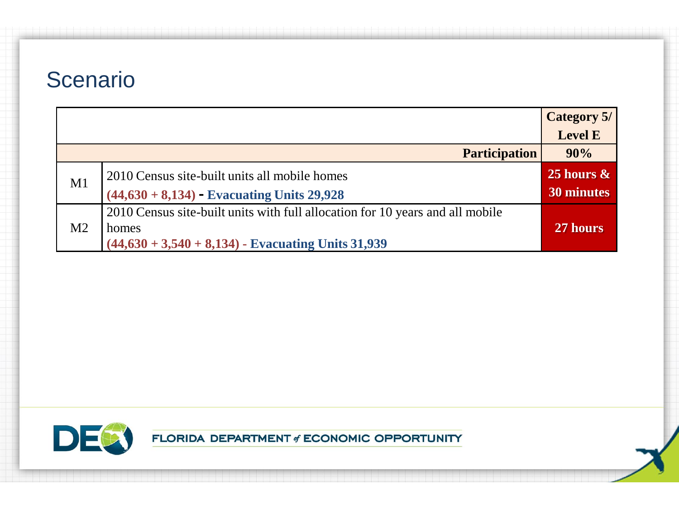|                |                                                                               | Category 5/   |
|----------------|-------------------------------------------------------------------------------|---------------|
|                |                                                                               | Level E       |
|                | <b>Participation</b>                                                          | 90%           |
| M1             | 2010 Census site-built units all mobile homes                                 | 25 hours $\&$ |
|                | $(44,630 + 8,134)$ - Evacuating Units 29,928                                  | 30 minutes    |
|                | 2010 Census site-built units with full allocation for 10 years and all mobile |               |
| M <sub>2</sub> | homes                                                                         | 27 hours      |
|                | $(44,630 + 3,540 + 8,134)$ - Evacuating Units 31,939                          |               |

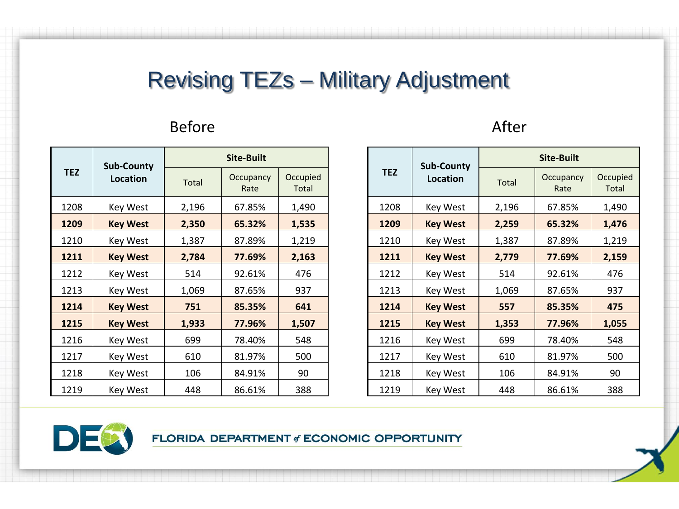#### Revising TEZs – Military Adjustment

#### Before After

|            | <b>Sub-County</b><br>Location<br><b>Total</b> | Site-Built        |                   |       |  |
|------------|-----------------------------------------------|-------------------|-------------------|-------|--|
| <b>TEZ</b> |                                               | Occupancy<br>Rate | Occupied<br>Total |       |  |
| 1208       | <b>Key West</b>                               | 2,196             | 67.85%            | 1,490 |  |
| 1209       | <b>Key West</b>                               | 2,350             | 65.32%            | 1,535 |  |
| 1210       | <b>Key West</b>                               | 1,387<br>87.89%   |                   | 1,219 |  |
| 1211       | <b>Key West</b>                               | 2,784             | 77.69%            | 2,163 |  |
| 1212       | <b>Key West</b>                               | 514               | 92.61%            | 476   |  |
| 1213       | <b>Key West</b>                               | 1,069<br>87.65%   |                   | 937   |  |
| 1214       | <b>Key West</b>                               | 751<br>85.35%     |                   | 641   |  |
| 1215       | <b>Key West</b>                               | 1,933             | 77.96%            | 1,507 |  |
| 1216       | Key West                                      | 699               | 78.40%            | 548   |  |
| 1217       | <b>Key West</b>                               | 610               | 81.97%            | 500   |  |
| 1218       | Key West                                      | 106               | 84.91%            | 90    |  |
| 1219       | Key West                                      | 448               | 86.61%            | 388   |  |

|            | <b>Sub-County</b><br>Location<br><b>Total</b> | Site-Built      |                   |                          |  |
|------------|-----------------------------------------------|-----------------|-------------------|--------------------------|--|
| <b>TEZ</b> |                                               |                 | Occupancy<br>Rate | Occupied<br><b>Total</b> |  |
| 1208       | <b>Key West</b>                               | 2,196           | 67.85%            | 1,490                    |  |
| 1209       | <b>Key West</b>                               | 2,259           | 65.32%            | 1,476                    |  |
| 1210       | <b>Key West</b>                               | 1,387           | 87.89%            | 1,219                    |  |
| 1211       | <b>Key West</b>                               | 2,779           | 77.69%            | 2,159                    |  |
| 1212       | <b>Key West</b>                               | 514             | 92.61%            | 476                      |  |
| 1213       | <b>Key West</b>                               | 87.65%<br>1,069 |                   | 937                      |  |
| 1214       | <b>Key West</b>                               | 557             | 85.35%            | 475                      |  |
| 1215       | <b>Key West</b>                               | 1,353           | 77.96%            | 1,055                    |  |
| 1216       | <b>Key West</b>                               | 699             | 78.40%            | 548                      |  |
| 1217       | <b>Key West</b>                               | 610             | 81.97%            | 500                      |  |
| 1218       | <b>Key West</b>                               | 106             | 84.91%            | 90                       |  |
| 1219       | Key West                                      | 448             | 86.61%            | 388                      |  |

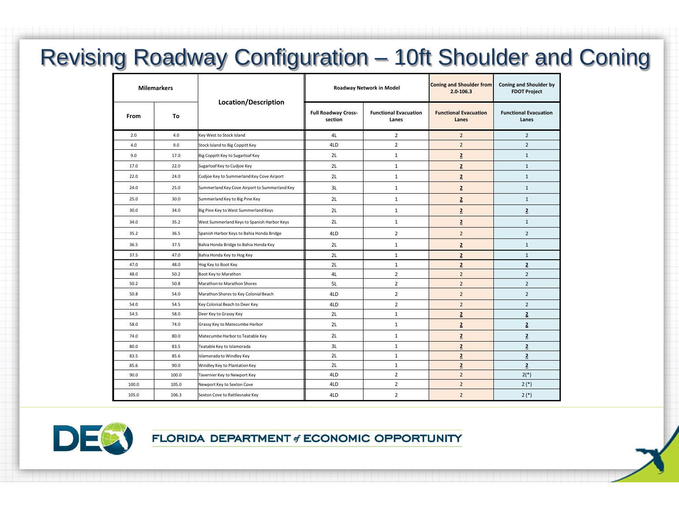## Revising Roadway Configuration – 10ft Shoulder and Coning

|       | <b>Milemarkers</b><br>Location/Description |                                               | Roadway Network in Model              |                                       | Coning and Shoulder from<br>$2.0 - 106.3$ | <b>Coning and Shoulder by</b><br><b>FDOT Project</b> |
|-------|--------------------------------------------|-----------------------------------------------|---------------------------------------|---------------------------------------|-------------------------------------------|------------------------------------------------------|
| From  | To                                         |                                               | <b>Full Roadway Cross-</b><br>section | <b>Functional Evacuation</b><br>Lanes | <b>Functional Evacuation</b><br>Lanes     | <b>Functional Evacuation</b><br>Lanes                |
| 2.0   | 4.0                                        | Key West to Stock Island                      | 4L                                    | $\overline{2}$                        | $\overline{2}$                            | $\overline{2}$                                       |
| 4.0   | 9.0                                        | Stock Island to Big Coppitt Key               | 4LD                                   | $\overline{2}$                        | $\overline{2}$                            | $\overline{2}$                                       |
| 9.0   | 17.0                                       | Big Coppitt Key to Sugarloaf Key              | 2L                                    | $\mathbf{1}$                          | $\overline{2}$                            | $\mathbf{1}$                                         |
| 17.0  | 22.0                                       | Sugarloaf Key to Cudjoe Key                   | 2L                                    | $\mathbf{1}$                          | $\overline{2}$                            | $\mathbf{1}$                                         |
| 22.0  | 24.0                                       | Cudjoe Key to Summerland Key Cove Airport     | 2L                                    | $\mathbf{1}$                          | $\overline{2}$                            | $\mathbf{1}$                                         |
| 24.0  | 25.0                                       | Summerland Key Cove Airport to Summerland Key | 3L                                    | $\mathbf{1}$                          | $\overline{2}$                            | $\mathbf{1}$                                         |
| 25.0  | 30.0                                       | Summerland Key to Big Pine Key                | 2L                                    | $\mathbf{1}$                          | $\overline{2}$                            | $\mathbf{1}$                                         |
| 30.0  | 34.0                                       | Big Pine Key to West Summerland Keys          | 2L                                    | $\mathbf{1}$                          | $\overline{2}$                            | $\overline{2}$                                       |
| 34.0  | 35.2                                       | West Summerland Keys to Spanish Harbor Keys   | 2L                                    | $\mathbf{1}$                          | $\overline{2}$                            | $\mathbf{1}$                                         |
| 35.2  | 36.5                                       | Spanish Harbor Keys to Bahia Honda Bridge     | 4LD                                   | $\overline{2}$                        | $\overline{2}$                            | $\overline{2}$                                       |
| 36.5  | 37.5                                       | Bahia Honda Bridge to Bahia Honda Key         | 2L                                    | 1                                     | $\overline{2}$                            | $\mathbf{1}$                                         |
| 37.5  | 47.0                                       | Bahia Honda Key to Hog Key                    | 2L                                    | $1\,$                                 | $\overline{2}$                            | $\mathbf{1}$                                         |
| 47.0  | 48.0                                       | Hog Key to Boot Key                           | 2L                                    | $\mathbf{1}$                          | $\overline{2}$                            | $\overline{2}$                                       |
| 48.0  | 50.2                                       | Boot Key to Marathon                          | 4L                                    | $\overline{2}$                        | $\overline{2}$                            | $\overline{2}$                                       |
| 50.2  | 50.8                                       | Marathon to Marathon Shores                   | 5L                                    | $\overline{2}$                        | $\overline{2}$                            | $\overline{2}$                                       |
| 50.8  | 54.0                                       | Marathon Shores to Key Colonial Beach         | 4LD                                   | $\overline{2}$                        | $\overline{2}$                            | $\overline{2}$                                       |
| 54.0  | 54.5                                       | Key Colonial Beach to Deer Key                | 4LD                                   | $\overline{2}$                        | $\overline{2}$                            | $\overline{2}$                                       |
| 54.5  | 58.0                                       | Deer Key to Grassy Key                        | 2L                                    | $\mathbf{1}$                          | $\overline{2}$                            | $\overline{2}$                                       |
| 58.0  | 74.0                                       | Grassy Key to Matecumbe Harbor                | 2L                                    | $\mathbf{1}$                          | $\overline{2}$                            | $\overline{2}$                                       |
| 74.0  | 80.0                                       | Matecumbe Harbor to Teatable Key              | 2L                                    | $\mathbf{1}$                          | $\overline{\mathbf{2}}$                   | $\overline{2}$                                       |
| 80.0  | 83.5                                       | Teatable Key to Islamorada                    | 3L                                    | $1\,$                                 | $\overline{2}$                            | $\overline{2}$                                       |
| 83.5  | 85.6                                       | Islamorada to Windley Key                     | 2L                                    | $1\,$                                 | $\overline{2}$                            | $\overline{2}$                                       |
| 85.6  | 90.0                                       | Windley Key to Plantation Key                 | 2L                                    | 1                                     | $\overline{2}$                            | $\overline{2}$                                       |
| 90.0  | 100.0                                      | Tavernier Key to Newport Key                  | 4LD                                   | $\overline{2}$                        | $\overline{2}$                            | $2(*)$                                               |
| 100.0 | 105.0                                      | Newport Key to Sexton Cove                    | 4LD                                   | $\overline{2}$                        | $\overline{2}$                            | $2(*)$                                               |
| 105.0 | 106.3                                      | Sexton Cove to Rattlesnake Key                | 4LD                                   | $\overline{2}$                        | $\overline{2}$                            | $2(*)$                                               |

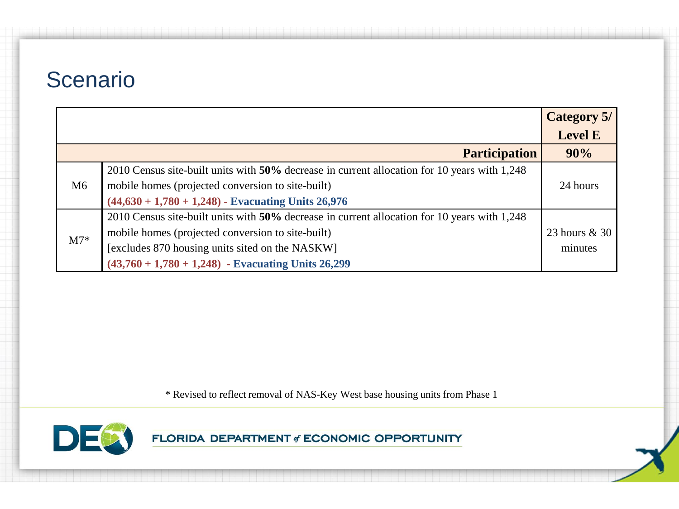|       |                                                                                              | <b>Category 5/</b> |
|-------|----------------------------------------------------------------------------------------------|--------------------|
|       |                                                                                              | <b>Level E</b>     |
|       | <b>Participation</b>                                                                         | 90%                |
|       | 2010 Census site-built units with 50% decrease in current allocation for 10 years with 1,248 |                    |
| M6    | mobile homes (projected conversion to site-built)                                            | 24 hours           |
|       | $(44,630 + 1,780 + 1,248)$ - Evacuating Units 26,976                                         |                    |
| $M7*$ | 2010 Census site-built units with 50% decrease in current allocation for 10 years with 1,248 |                    |
|       | mobile homes (projected conversion to site-built)                                            | 23 hours & 30      |
|       | [excludes 870 housing units sited on the NASKW]                                              | minutes            |
|       | $(43,760 + 1,780 + 1,248)$ - Evacuating Units 26,299                                         |                    |

\* Revised to reflect removal of NAS-Key West base housing units from Phase 1